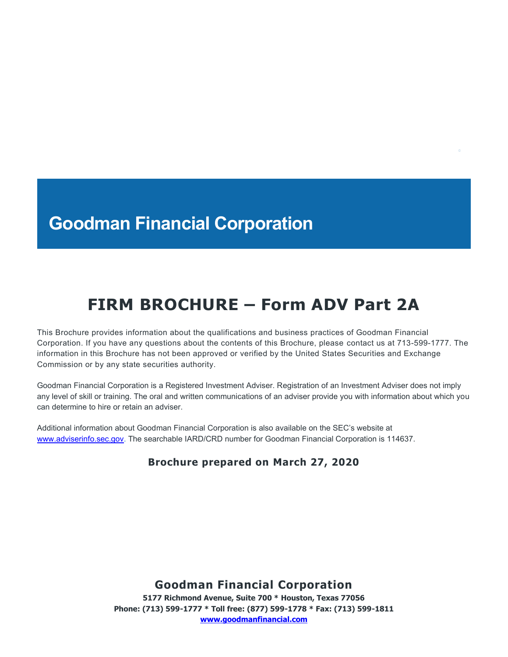# **Goodman Financial Corporation**

# **FIRM BROCHURE – Form ADV Part 2A**

This Brochure provides information about the qualifications and business practices of Goodman Financial Corporation. If you have any questions about the contents of this Brochure, please contact us at 713-599-1777. The information in this Brochure has not been approved or verified by the United States Securities and Exchange Commission or by any state securities authority.

Goodman Financial Corporation is a Registered Investment Adviser. Registration of an Investment Adviser does not imply any level of skill or training. The oral and written communications of an adviser provide you with information about which you can determine to hire or retain an adviser.

Additional information about Goodman Financial Corporation is also available on the SEC's website at [www.adviserinfo.sec.gov.](http://www.adviserinfo.sec.gov/) The searchable IARD/CRD number for Goodman Financial Corporation is 114637.

### **Brochure prepared on March 27, 2020**

## **Goodman Financial Corporation**

**5177 Richmond Avenue, Suite 700 \* Houston, Texas 77056 Phone: (713) 599-1777 \* Toll free: (877) 599-1778 \* Fax: (713) 599-1811 [www.goodmanfinancial.com](http://www.goodmanfinancial.com/)**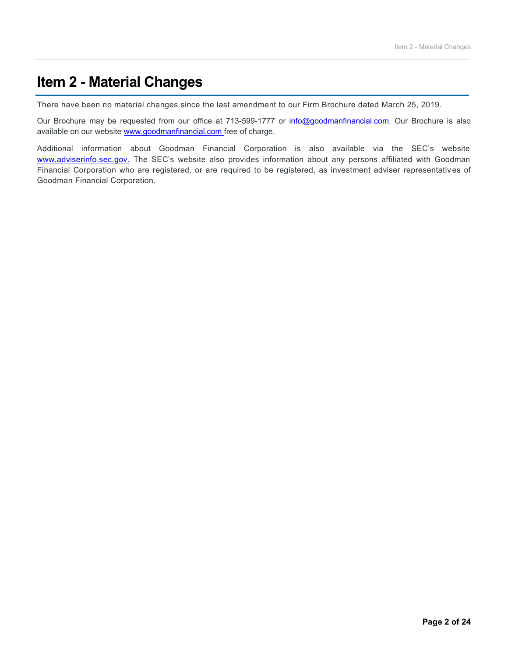# **Item 2 - Material Changes**

There have been no material changes since the last amendment to our Firm Brochure dated March 25, 2019.

Our Brochure may be requested from our office at 713-599-1777 or [info@goodmanfinancial.com.](mailto:info@goodmanfinancial.com) Our Brochure is also available on our website [www.goodmanfinancial.com](http://www.goodmanfinancial.com/) free of charge.

Additional information about Goodman Financial Corporation is also available via the SEC's website [www.adviserinfo.sec.gov.](http://www.adviserinfo.sec.gov/) The SEC's website also provides information about any persons affiliated with Goodman Financial Corporation who are registered, or are required to be registered, as investment adviser representativ es of Goodman Financial Corporation.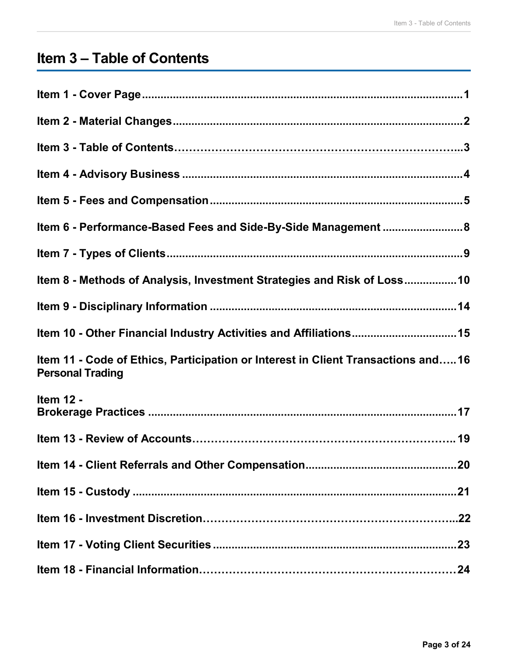# **Item 3 – Table of Contents**

| Item 6 - Performance-Based Fees and Side-By-Side Management  8                                              |
|-------------------------------------------------------------------------------------------------------------|
|                                                                                                             |
| Item 8 - Methods of Analysis, Investment Strategies and Risk of Loss10                                      |
|                                                                                                             |
| Item 10 - Other Financial Industry Activities and Affiliations 15                                           |
| Item 11 - Code of Ethics, Participation or Interest in Client Transactions and16<br><b>Personal Trading</b> |
| <b>Item 12 -</b>                                                                                            |
|                                                                                                             |
|                                                                                                             |
|                                                                                                             |
|                                                                                                             |
|                                                                                                             |
|                                                                                                             |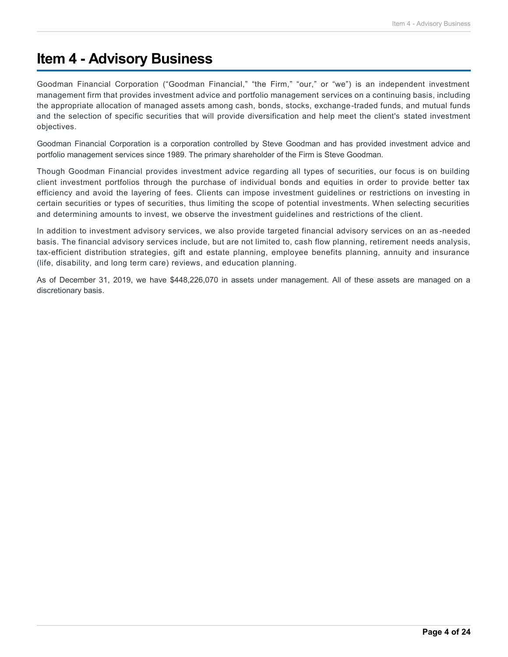## **Item 4 - Advisory Business**

Goodman Financial Corporation ("Goodman Financial," "the Firm," "our," or "we") is an independent investment management firm that provides investment advice and portfolio management services on a continuing basis, including the appropriate allocation of managed assets among cash, bonds, stocks, exchange-traded funds, and mutual funds and the selection of specific securities that will provide diversification and help meet the client's stated investment objectives.

Goodman Financial Corporation is a corporation controlled by Steve Goodman and has provided investment advice and portfolio management services since 1989. The primary shareholder of the Firm is Steve Goodman.

Though Goodman Financial provides investment advice regarding all types of securities, our focus is on building client investment portfolios through the purchase of individual bonds and equities in order to provide better tax efficiency and avoid the layering of fees. Clients can impose investment guidelines or restrictions on investing in certain securities or types of securities, thus limiting the scope of potential investments. When selecting securities and determining amounts to invest, we observe the investment guidelines and restrictions of the client.

In addition to investment advisory services, we also provide targeted financial advisory services on an as -needed basis. The financial advisory services include, but are not limited to, cash flow planning, retirement needs analysis, tax-efficient distribution strategies, gift and estate planning, employee benefits planning, annuity and insurance (life, disability, and long term care) reviews, and education planning.

As of December 31, 2019, we have \$448,226,070 in assets under management. All of these assets are managed on a discretionary basis.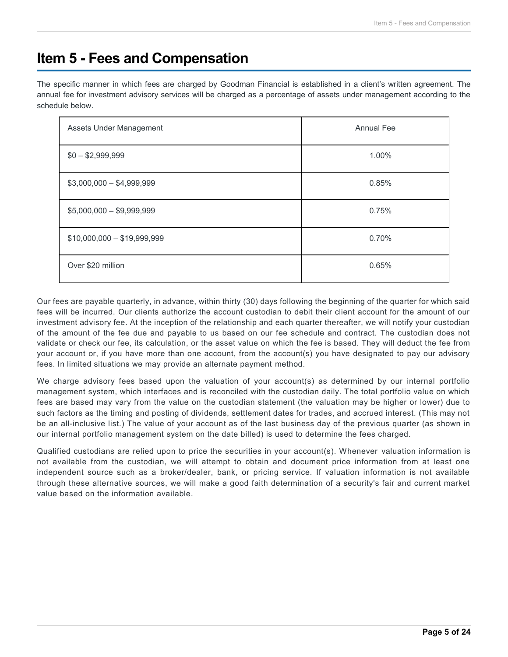# **Item 5 - Fees and Compensation**

The specific manner in which fees are charged by Goodman Financial is established in a client's written agreement. The annual fee for investment advisory services will be charged as a percentage of assets under management according to the schedule below.

| Assets Under Management     | <b>Annual Fee</b> |
|-----------------------------|-------------------|
| $$0 - $2,999,999$           | 1.00%             |
| $$3,000,000 - $4,999,999$   | 0.85%             |
| $$5,000,000 - $9,999,999$   | 0.75%             |
| $$10,000,000 - $19,999,999$ | 0.70%             |
| Over \$20 million           | 0.65%             |

Our fees are payable quarterly, in advance, within thirty (30) days following the beginning of the quarter for which said fees will be incurred. Our clients authorize the account custodian to debit their client account for the amount of our investment advisory fee. At the inception of the relationship and each quarter thereafter, we will notify your custodian of the amount of the fee due and payable to us based on our fee schedule and contract. The custodian does not validate or check our fee, its calculation, or the asset value on which the fee is based. They will deduct the fee from your account or, if you have more than one account, from the account(s) you have designated to pay our advisory fees. In limited situations we may provide an alternate payment method.

We charge advisory fees based upon the valuation of your account(s) as determined by our internal portfolio management system, which interfaces and is reconciled with the custodian daily. The total portfolio value on which fees are based may vary from the value on the custodian statement (the valuation may be higher or lower) due to such factors as the timing and posting of dividends, settlement dates for trades, and accrued interest. (This may not be an all-inclusive list.) The value of your account as of the last business day of the previous quarter (as shown in our internal portfolio management system on the date billed) is used to determine the fees charged.

Qualified custodians are relied upon to price the securities in your account(s). Whenever valuation information is not available from the custodian, we will attempt to obtain and document price information from at least one independent source such as a broker/dealer, bank, or pricing service. If valuation information is not available through these alternative sources, we will make a good faith determination of a security's fair and current market value based on the information available.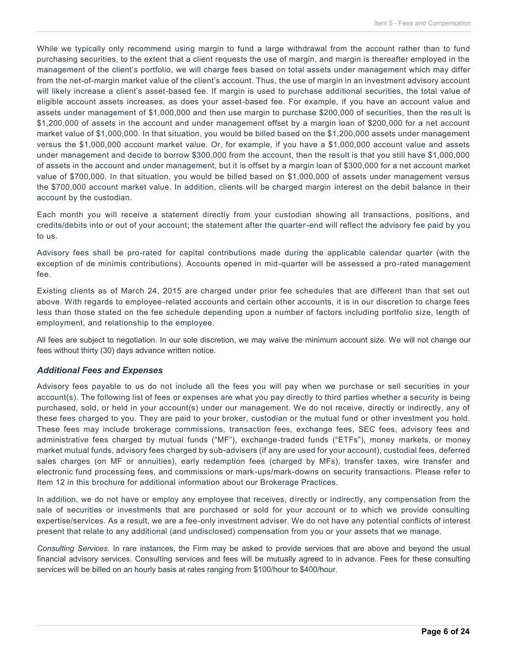While we typically only recommend using margin to fund a large withdrawal from the account rather than to fund purchasing securities, to the extent that a client requests the use of margin, and margin is thereafter employed in the management of the client's portfolio, we will charge fees based on total assets under management which may differ from the net-of-margin market value of the client's account. Thus, the use of margin in an investment advisory account will likely increase a client's asset-based fee. If margin is used to purchase additional securities, the total value of eligible account assets increases, as does your asset-based fee. For example, if you have an account value and assets under management of \$1,000,000 and then use margin to purchase \$200,000 of securities, then the res ult is \$1,200,000 of assets in the account and under management offset by a margin loan of \$200,000 for a net account market value of \$1,000,000. In that situation, you would be billed based on the \$1,200,000 assets under management versus the \$1,000,000 account market value. Or, for example, if you have a \$1,000,000 account value and assets under management and decide to borrow \$300,000 from the account, then the result is that you still have \$1,000,000 of assets in the account and under management, but it is offset by a margin loan of \$300,000 for a net account market value of \$700,000. In that situation, you would be billed based on \$1,000,000 of assets under management versus the \$700,000 account market value. In addition, clients will be charged margin interest on the debit balance in their account by the custodian.

Each month you will receive a statement directly from your custodian showing all transactions, positions, and credits/debits into or out of your account; the statement after the quarter-end will reflect the advisory fee paid by you to us.

Advisory fees shall be pro-rated for capital contributions made during the applicable calendar quarter (with the exception of de minimis contributions). Accounts opened in mid-quarter will be assessed a pro-rated management fee.

Existing clients as of March 24, 2015 are charged under prior fee schedules that are different than that set out above. With regards to employee-related accounts and certain other accounts, it is in our discretion to charge fees less than those stated on the fee schedule depending upon a number of factors including portfolio size, length of employment, and relationship to the employee.

All fees are subject to negotiation. In our sole discretion, we may waive the minimum account size. We will not change our fees without thirty (30) days advance written notice.

### *Additional Fees and Expenses*

Advisory fees payable to us do not include all the fees you will pay when we purchase or sell securities in your account(s). The following list of fees or expenses are what you pay directly to third parties whether a security is being purchased, sold, or held in your account(s) under our management. We do not receive, directly or indirectly, any of these fees charged to you. They are paid to your broker, custodian or the mutual fund or other investment you hold. These fees may include brokerage commissions, transaction fees, exchange fees, SEC fees, advisory fees and administrative fees charged by mutual funds ("MF"), exchange-traded funds ("ETFs"), money markets, or money market mutual funds, advisory fees charged by sub-advisers (if any are used for your account), custodial fees, deferred sales charges (on MF or annuities), early redemption fees (charged by MFs), transfer taxes, wire transfer and electronic fund processing fees, and commissions or mark-ups/mark-downs on security transactions. Please refer to Item 12 in this brochure for additional information about our Brokerage Practices.

In addition, we do not have or employ any employee that receives, directly or indirectly, any compensation from the sale of securities or investments that are purchased or sold for your account or to which we provide consulting expertise/services. As a result, we are a fee-only investment adviser. We do not have any potential conflicts of interest present that relate to any additional (and undisclosed) compensation from you or your assets that we manage.

*Consulting Services.* In rare instances, the Firm may be asked to provide services that are above and beyond the usual financial advisory services. Consulting services and fees will be mutually agreed to in advance. Fees for these consulting services will be billed on an hourly basis at rates ranging from \$100/hour to \$400/hour.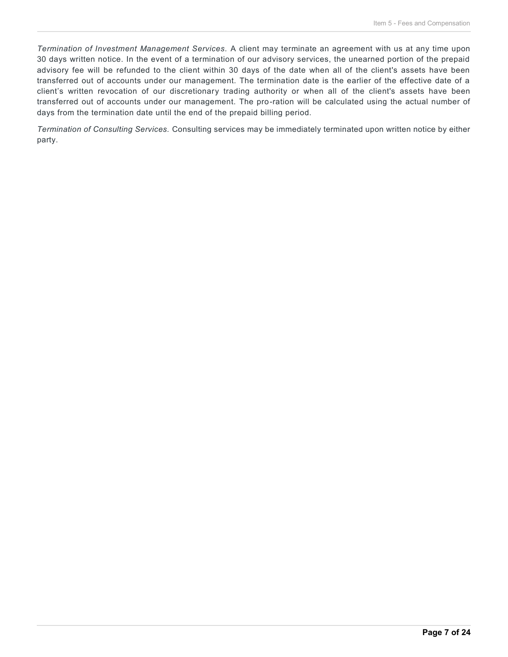*Termination of Investment Management Services.* A client may terminate an agreement with us at any time upon 30 days written notice. In the event of a termination of our advisory services, the unearned portion of the prepaid advisory fee will be refunded to the client within 30 days of the date when all of the client's assets have been transferred out of accounts under our management. The termination date is the earlier of the effective date of a client's written revocation of our discretionary trading authority or when all of the client's assets have been transferred out of accounts under our management. The pro-ration will be calculated using the actual number of days from the termination date until the end of the prepaid billing period.

*Termination of Consulting Services.* Consulting services may be immediately terminated upon written notice by either party.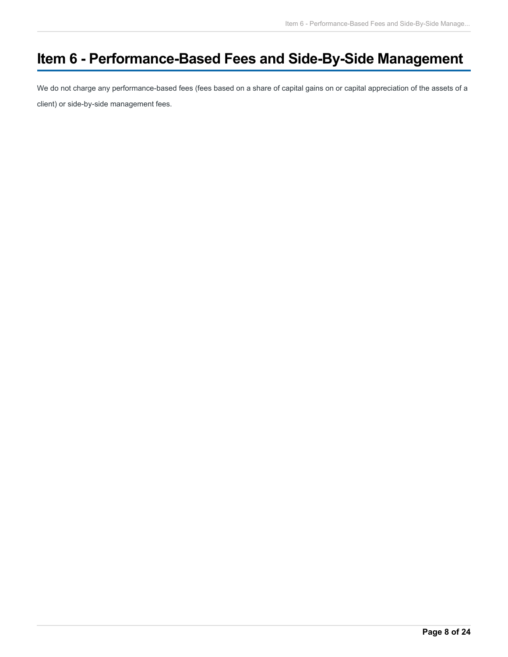# **Item 6 - Performance-Based Fees and Side-By-Side Management**

We do not charge any performance-based fees (fees based on a share of capital gains on or capital appreciation of the assets of a client) or side-by-side management fees.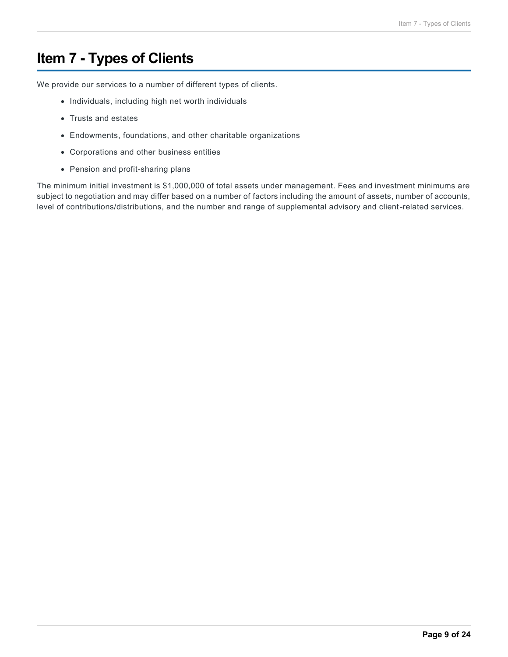# **Item 7 - Types of Clients**

We provide our services to a number of different types of clients.

- Individuals, including high net worth individuals
- Trusts and estates
- Endowments, foundations, and other charitable organizations
- Corporations and other business entities
- Pension and profit-sharing plans

The minimum initial investment is \$1,000,000 of total assets under management. Fees and investment minimums are subject to negotiation and may differ based on a number of factors including the amount of assets, number of accounts, level of contributions/distributions, and the number and range of supplemental advisory and client-related services.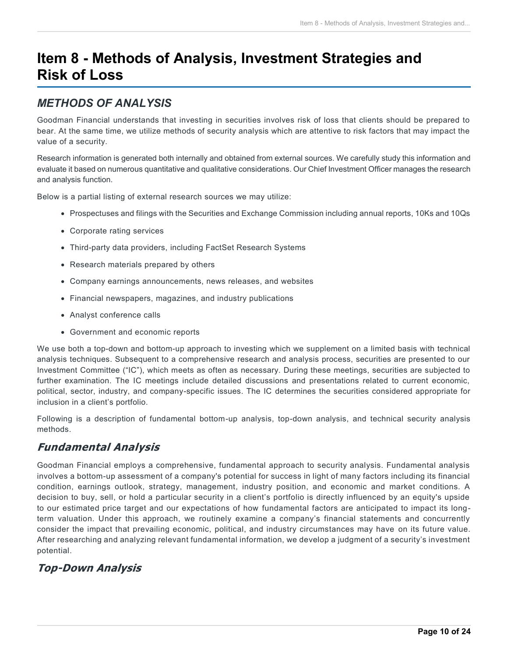# **Item 8 - Methods of Analysis, Investment Strategies and Risk of Loss**

## *METHODS OF ANALYSIS*

Goodman Financial understands that investing in securities involves risk of loss that clients should be prepared to bear. At the same time, we utilize methods of security analysis which are attentive to risk factors that may impact the value of a security.

Research information is generated both internally and obtained from external sources. We carefully study this information and evaluate it based on numerous quantitative and qualitative considerations. Our Chief Investment Officer manages the research and analysis function.

Below is a partial listing of external research sources we may utilize:

- Prospectuses and filings with the Securities and Exchange Commission including annual reports, 10Ks and 10Qs
- Corporate rating services
- Third-party data providers, including FactSet Research Systems
- Research materials prepared by others
- Company earnings announcements, news releases, and websites
- Financial newspapers, magazines, and industry publications
- Analyst conference calls
- Government and economic reports

We use both a top-down and bottom-up approach to investing which we supplement on a limited basis with technical analysis techniques. Subsequent to a comprehensive research and analysis process, securities are presented to our Investment Committee ("IC"), which meets as often as necessary. During these meetings, securities are subjected to further examination. The IC meetings include detailed discussions and presentations related to current economic, political, sector, industry, and company-specific issues. The IC determines the securities considered appropriate for inclusion in a client's portfolio.

Following is a description of fundamental bottom-up analysis, top-down analysis, and technical security analysis methods.

## **Fundamental Analysis**

Goodman Financial employs a comprehensive, fundamental approach to security analysis. Fundamental analysis involves a bottom-up assessment of a company's potential for success in light of many factors including its financial condition, earnings outlook, strategy, management, industry position, and economic and market conditions. A decision to buy, sell, or hold a particular security in a client's portfolio is directly influenced by an equity's upside to our estimated price target and our expectations of how fundamental factors are anticipated to impact its longterm valuation. Under this approach, we routinely examine a company's financial statements and concurrently consider the impact that prevailing economic, political, and industry circumstances may have on its future value. After researching and analyzing relevant fundamental information, we develop a judgment of a security's investment potential.

## **Top-Down Analysis**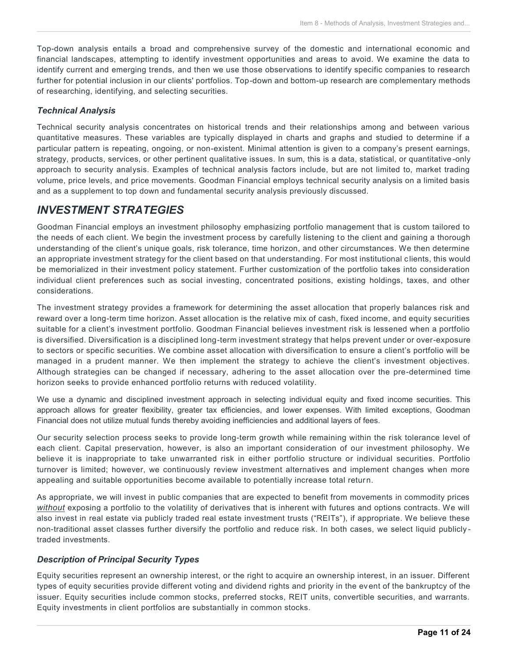Top-down analysis entails a broad and comprehensive survey of the domestic and international economic and financial landscapes, attempting to identify investment opportunities and areas to avoid. We examine the data to identify current and emerging trends, and then we use those observations to identify specific companies to research further for potential inclusion in our clients' portfolios. Top-down and bottom-up research are complementary methods of researching, identifying, and selecting securities.

### *Technical Analysis*

Technical security analysis concentrates on historical trends and their relationships among and between various quantitative measures. These variables are typically displayed in charts and graphs and studied to determine if a particular pattern is repeating, ongoing, or non-existent. Minimal attention is given to a company's present earnings, strategy, products, services, or other pertinent qualitative issues. In sum, this is a data, statistical, or quantitative -only approach to security analysis. Examples of technical analysis factors include, but are not limited to, market trading volume, price levels, and price movements. Goodman Financial employs technical security analysis on a limited basis and as a supplement to top down and fundamental security analysis previously discussed.

### *INVESTMENT STRATEGIES*

Goodman Financial employs an investment philosophy emphasizing portfolio management that is custom tailored to the needs of each client. We begin the investment process by carefully listening to the client and gaining a thorough understanding of the client's unique goals, risk tolerance, time horizon, and other circumstances. We then determine an appropriate investment strategy for the client based on that understanding. For most institutional c lients, this would be memorialized in their investment policy statement. Further customization of the portfolio takes into consideration individual client preferences such as social investing, concentrated positions, existing holdings, taxes, and other considerations.

The investment strategy provides a framework for determining the asset allocation that properly balances risk and reward over a long-term time horizon. Asset allocation is the relative mix of cash, fixed income, and equity securities suitable for a client's investment portfolio. Goodman Financial believes investment risk is lessened when a portfolio is diversified. Diversification is a disciplined long-term investment strategy that helps prevent under or over-exposure to sectors or specific securities. We combine asset allocation with diversification to ensure a client's portfolio will be managed in a prudent manner. We then implement the strategy to achieve the client's investment objectives. Although strategies can be changed if necessary, adhering to the asset allocation over the pre-determined time horizon seeks to provide enhanced portfolio returns with reduced volatility.

We use a dynamic and disciplined investment approach in selecting individual equity and fixed income securities. This approach allows for greater flexibility, greater tax efficiencies, and lower expenses. With limited exceptions, Goodman Financial does not utilize mutual funds thereby avoiding inefficiencies and additional layers of fees.

Our security selection process seeks to provide long-term growth while remaining within the risk tolerance level of each client. Capital preservation, however, is also an important consideration of our investment philosophy. We believe it is inappropriate to take unwarranted risk in either portfolio structure or individual securities. Portfolio turnover is limited; however, we continuously review investment alternatives and implement changes when more appealing and suitable opportunities become available to potentially increase total return.

As appropriate, we will invest in public companies that are expected to benefit from movements in commodity prices *without* exposing a portfolio to the volatility of derivatives that is inherent with futures and options contracts. We will also invest in real estate via publicly traded real estate investment trusts ("REITs"), if appropriate. We believe these non-traditional asset classes further diversify the portfolio and reduce risk. In both cases, we select liquid publicly traded investments.

### *Description of Principal Security Types*

Equity securities represent an ownership interest, or the right to acquire an ownership interest, in an issuer. Different types of equity securities provide different voting and dividend rights and priority in the event of the bankruptcy of the issuer. Equity securities include common stocks, preferred stocks, REIT units, convertible securities, and warrants. Equity investments in client portfolios are substantially in common stocks.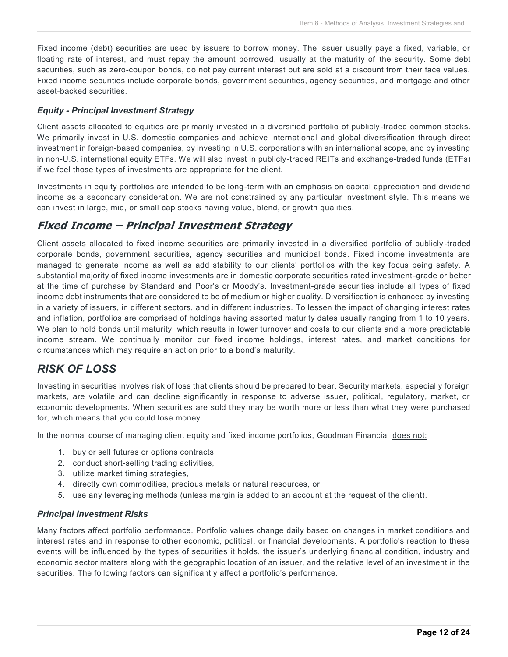Fixed income (debt) securities are used by issuers to borrow money. The issuer usually pays a fixed, variable, or floating rate of interest, and must repay the amount borrowed, usually at the maturity of the security. Some debt securities, such as zero-coupon bonds, do not pay current interest but are sold at a discount from their face values. Fixed income securities include corporate bonds, government securities, agency securities, and mortgage and other asset-backed securities.

### *Equity - Principal Investment Strategy*

Client assets allocated to equities are primarily invested in a diversified portfolio of publicly -traded common stocks. We primarily invest in U.S. domestic companies and achieve international and global diversification through direct investment in foreign-based companies, by investing in U.S. corporations with an international scope, and by investing in non-U.S. international equity ETFs. We will also invest in publicly-traded REITs and exchange-traded funds (ETFs) if we feel those types of investments are appropriate for the client.

Investments in equity portfolios are intended to be long-term with an emphasis on capital appreciation and dividend income as a secondary consideration. We are not constrained by any particular investment style. This means we can invest in large, mid, or small cap stocks having value, blend, or growth qualities.

### **Fixed Income – Principal Investment Strategy**

Client assets allocated to fixed income securities are primarily invested in a diversified portfolio of publicly -traded corporate bonds, government securities, agency securities and municipal bonds. Fixed income investments are managed to generate income as well as add stability to our clients' portfolios with the key focus being safety. A substantial majority of fixed income investments are in domestic corporate securities rated investment-grade or better at the time of purchase by Standard and Poor's or Moody's. Investment-grade securities include all types of fixed income debt instruments that are considered to be of medium or higher quality. Diversification is enhanced by investing in a variety of issuers, in different sectors, and in different industries. To lessen the impact of changing interest rates and inflation, portfolios are comprised of holdings having assorted maturity dates usually ranging from 1 to 10 years. We plan to hold bonds until maturity, which results in lower turnover and costs to our clients and a more predictable income stream. We continually monitor our fixed income holdings, interest rates, and market conditions for circumstances which may require an action prior to a bond's maturity.

## *RISK OF LOSS*

Investing in securities involves risk of loss that clients should be prepared to bear. Security markets, especially foreign markets, are volatile and can decline significantly in response to adverse issuer, political, regulatory, market, or economic developments. When securities are sold they may be worth more or less than what they were purchased for, which means that you could lose money.

In the normal course of managing client equity and fixed income portfolios, Goodman Financial does not:

- 1. buy or sell futures or options contracts,
- 2. conduct short-selling trading activities,
- 3. utilize market timing strategies,
- 4. directly own commodities, precious metals or natural resources, or
- 5. use any leveraging methods (unless margin is added to an account at the request of the client).

### *Principal Investment Risks*

Many factors affect portfolio performance. Portfolio values change daily based on changes in market conditions and interest rates and in response to other economic, political, or financial developments. A portfolio's reaction to these events will be influenced by the types of securities it holds, the issuer's underlying financial condition, industry and economic sector matters along with the geographic location of an issuer, and the relative level of an investment in the securities. The following factors can significantly affect a portfolio's performance.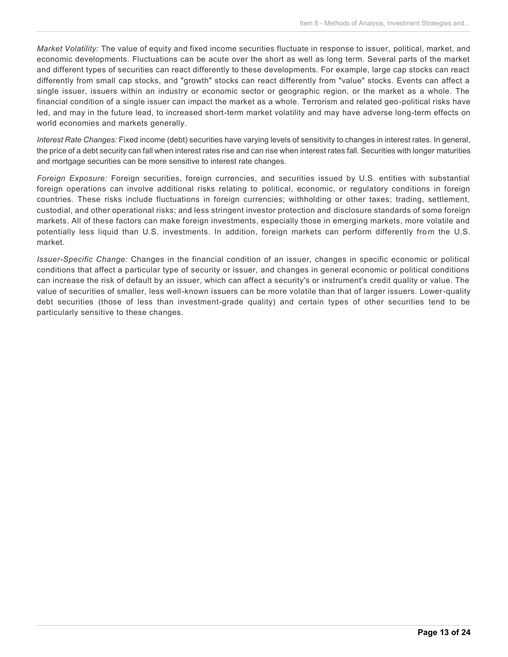*Market Volatility:* The value of equity and fixed income securities fluctuate in response to issuer, political, market, and economic developments. Fluctuations can be acute over the short as well as long term. Several parts of the market and different types of securities can react differently to these developments. For example, large cap stocks can react differently from small cap stocks, and "growth" stocks can react differently from "value" stocks. Events can affect a single issuer, issuers within an industry or economic sector or geographic region, or the market as a whole. The financial condition of a single issuer can impact the market as a whole. Terrorism and related geo-political risks have led, and may in the future lead, to increased short-term market volatility and may have adverse long-term effects on world economies and markets generally.

*Interest Rate Changes:* Fixed income (debt) securities have varying levels of sensitivity to changes in interest rates. In general, the price of a debt security can fall when interest rates rise and can rise when interest rates fall. Securities with longer maturities and mortgage securities can be more sensitive to interest rate changes.

*Foreign Exposure:* Foreign securities, foreign currencies, and securities issued by U.S. entities with substantial foreign operations can involve additional risks relating to political, economic, or regulatory conditions in foreign countries. These risks include fluctuations in foreign currencies; withholding or other taxes; trading, settlement, custodial, and other operational risks; and less stringent investor protection and disclosure standards of some foreign markets. All of these factors can make foreign investments, especially those in emerging markets, more volatile and potentially less liquid than U.S. investments. In addition, foreign markets can perform differently from the U.S. market.

*Issuer-Specific Change:* Changes in the financial condition of an issuer, changes in specific economic or political conditions that affect a particular type of security or issuer, and changes in general economic or political conditions can increase the risk of default by an issuer, which can affect a security's or instrument's credit quality or value. The value of securities of smaller, less well-known issuers can be more volatile than that of larger issuers. Lower-quality debt securities (those of less than investment-grade quality) and certain types of other securities tend to be particularly sensitive to these changes.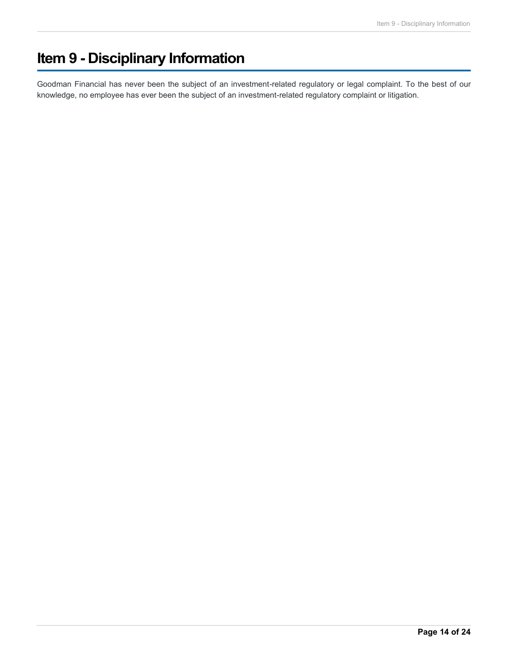# **Item 9 - Disciplinary Information**

Goodman Financial has never been the subject of an investment-related regulatory or legal complaint. To the best of our knowledge, no employee has ever been the subject of an investment-related regulatory complaint or litigation.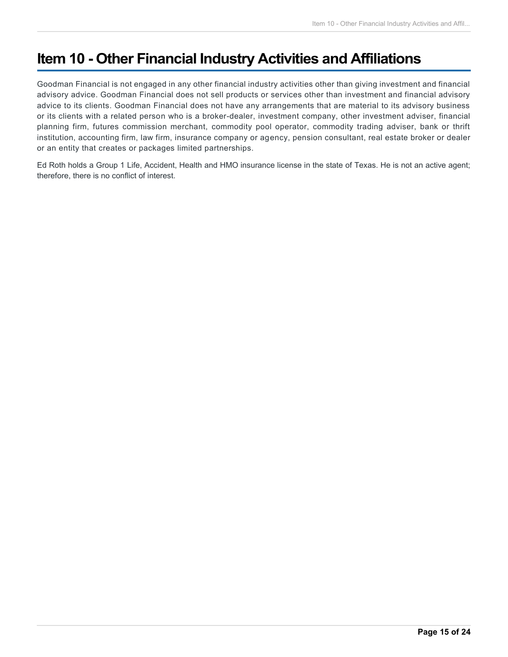# **Item 10 - Other Financial Industry Activities and Affiliations**

Goodman Financial is not engaged in any other financial industry activities other than giving investment and financial advisory advice. Goodman Financial does not sell products or services other than investment and financial advisory advice to its clients. Goodman Financial does not have any arrangements that are material to its advisory business or its clients with a related person who is a broker-dealer, investment company, other investment adviser, financial planning firm, futures commission merchant, commodity pool operator, commodity trading adviser, bank or thrift institution, accounting firm, law firm, insurance company or agency, pension consultant, real estate broker or dealer or an entity that creates or packages limited partnerships.

Ed Roth holds a Group 1 Life, Accident, Health and HMO insurance license in the state of Texas. He is not an active agent; therefore, there is no conflict of interest.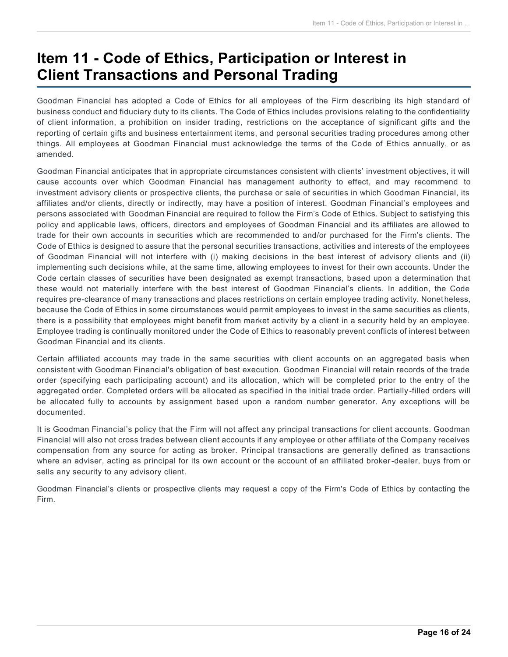# **Item 11 - Code of Ethics, Participation or Interest in Client Transactions and Personal Trading**

Goodman Financial has adopted a Code of Ethics for all employees of the Firm describing its high standard of business conduct and fiduciary duty to its clients. The Code of Ethics includes provisions relating to the confidentiality of client information, a prohibition on insider trading, restrictions on the acceptance of significant gifts and the reporting of certain gifts and business entertainment items, and personal securities trading procedures among other things. All employees at Goodman Financial must acknowledge the terms of the Code of Ethics annually, or as amended.

Goodman Financial anticipates that in appropriate circumstances consistent with clients' investment objectives, it will cause accounts over which Goodman Financial has management authority to effect, and may recommend to investment advisory clients or prospective clients, the purchase or sale of securities in which Goodman Financial, its affiliates and/or clients, directly or indirectly, may have a position of interest. Goodman Financial's employees and persons associated with Goodman Financial are required to follow the Firm's Code of Ethics. Subject to satisfying this policy and applicable laws, officers, directors and employees of Goodman Financial and its affiliates are allowed to trade for their own accounts in securities which are recommended to and/or purchased for the Firm's clients. The Code of Ethics is designed to assure that the personal securities transactions, activities and interests of the employees of Goodman Financial will not interfere with (i) making decisions in the best interest of advisory clients and (ii) implementing such decisions while, at the same time, allowing employees to invest for their own accounts. Under the Code certain classes of securities have been designated as exempt transactions, based upon a determination that these would not materially interfere with the best interest of Goodman Financial's clients. In addition, the Code requires pre-clearance of many transactions and places restrictions on certain employee trading activity. Nonetheless, because the Code of Ethics in some circumstances would permit employees to invest in the same securities as clients, there is a possibility that employees might benefit from market activity by a client in a security held by an employee. Employee trading is continually monitored under the Code of Ethics to reasonably prevent conflicts of interest between Goodman Financial and its clients.

Certain affiliated accounts may trade in the same securities with client accounts on an aggregated basis when consistent with Goodman Financial's obligation of best execution. Goodman Financial will retain records of the trade order (specifying each participating account) and its allocation, which will be completed prior to the entry of the aggregated order. Completed orders will be allocated as specified in the initial trade order. Partially-filled orders will be allocated fully to accounts by assignment based upon a random number generator. Any exceptions will be documented.

It is Goodman Financial's policy that the Firm will not affect any principal transactions for client accounts. Goodman Financial will also not cross trades between client accounts if any employee or other affiliate of the Company receives compensation from any source for acting as broker. Principal transactions are generally defined as transactions where an adviser, acting as principal for its own account or the account of an affiliated broker-dealer, buys from or sells any security to any advisory client.

Goodman Financial's clients or prospective clients may request a copy of the Firm's Code of Ethics by contacting the Firm.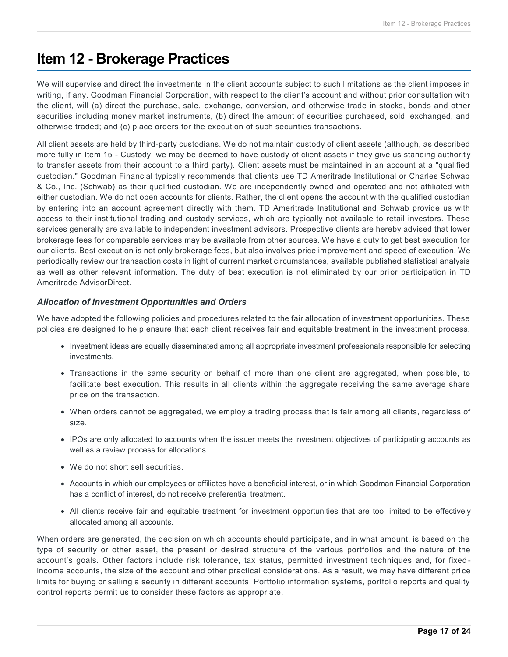## **Item 12 - Brokerage Practices**

We will supervise and direct the investments in the client accounts subject to such limitations as the client imposes in writing, if any. Goodman Financial Corporation, with respect to the client's account and without prior consultation with the client, will (a) direct the purchase, sale, exchange, conversion, and otherwise trade in stocks, bonds and other securities including money market instruments, (b) direct the amount of securities purchased, sold, exchanged, and otherwise traded; and (c) place orders for the execution of such securities transactions.

All client assets are held by third-party custodians. We do not maintain custody of client assets (although, as described more fully in Item 15 - Custody, we may be deemed to have custody of client assets if they give us standing authority to transfer assets from their account to a third party). Client assets must be maintained in an account at a "qualified custodian." Goodman Financial typically recommends that clients use TD Ameritrade Institutional or Charles Schwab & Co., Inc. (Schwab) as their qualified custodian. We are independently owned and operated and not affiliated with either custodian. We do not open accounts for clients. Rather, the client opens the account with the qualified custodian by entering into an account agreement directly with them. TD Ameritrade Institutional and Schwab provide us with access to their institutional trading and custody services, which are typically not available to retail investors. These services generally are available to independent investment advisors. Prospective clients are hereby advised that lower brokerage fees for comparable services may be available from other sources. We have a duty to get best execution for our clients. Best execution is not only brokerage fees, but also involves price improvement and speed of execution. We periodically review our transaction costs in light of current market circumstances, available published statistical analysis as well as other relevant information. The duty of best execution is not eliminated by our prior participation in TD Ameritrade AdvisorDirect.

### *Allocation of Investment Opportunities and Orders*

We have adopted the following policies and procedures related to the fair allocation of investment opportunities. These policies are designed to help ensure that each client receives fair and equitable treatment in the investment process.

- Investment ideas are equally disseminated among all appropriate investment professionals responsible for selecting investments.
- Transactions in the same security on behalf of more than one client are aggregated, when possible, to facilitate best execution. This results in all clients within the aggregate receiving the same average share price on the transaction.
- When orders cannot be aggregated, we employ a trading process that is fair among all clients, regardless of size.
- IPOs are only allocated to accounts when the issuer meets the investment objectives of participating accounts as well as a review process for allocations.
- We do not short sell securities.
- Accounts in which our employees or affiliates have a beneficial interest, or in which Goodman Financial Corporation has a conflict of interest, do not receive preferential treatment.
- All clients receive fair and equitable treatment for investment opportunities that are too limited to be effectively allocated among all accounts.

When orders are generated, the decision on which accounts should participate, and in what amount, is based on the type of security or other asset, the present or desired structure of the various portfolios and the nature of the account's goals. Other factors include risk tolerance, tax status, permitted investment techniques and, for fixed income accounts, the size of the account and other practical considerations. As a result, we may have different pri ce limits for buying or selling a security in different accounts. Portfolio information systems, portfolio reports and quality control reports permit us to consider these factors as appropriate.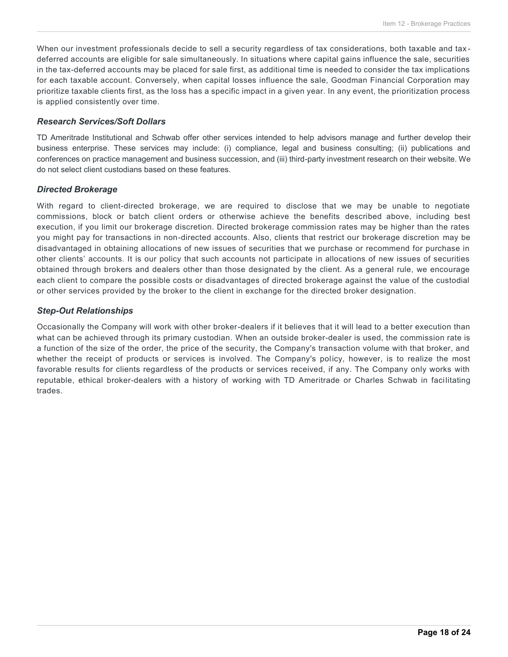When our investment professionals decide to sell a security regardless of tax considerations, both taxable and taxdeferred accounts are eligible for sale simultaneously. In situations where capital gains influence the sale, securities in the tax-deferred accounts may be placed for sale first, as additional time is needed to consider the tax implications for each taxable account. Conversely, when capital losses influence the sale, Goodman Financial Corporation may prioritize taxable clients first, as the loss has a specific impact in a given year. In any event, the prioritization process is applied consistently over time.

### *Research Services/Soft Dollars*

TD Ameritrade Institutional and Schwab offer other services intended to help advisors manage and further develop their business enterprise. These services may include: (i) compliance, legal and business consulting; (ii) publications and conferences on practice management and business succession, and (iii) third-party investment research on their website. We do not select client custodians based on these features.

#### *Directed Brokerage*

With regard to client-directed brokerage, we are required to disclose that we may be unable to negotiate commissions, block or batch client orders or otherwise achieve the benefits described above, including best execution, if you limit our brokerage discretion. Directed brokerage commission rates may be higher than the rates you might pay for transactions in non-directed accounts. Also, clients that restrict our brokerage discretion may be disadvantaged in obtaining allocations of new issues of securities that we purchase or recommend for purchase in other clients' accounts. It is our policy that such accounts not participate in allocations of new issues of securities obtained through brokers and dealers other than those designated by the client. As a general rule, we encourage each client to compare the possible costs or disadvantages of directed brokerage against the value of the custodial or other services provided by the broker to the client in exchange for the directed broker designation.

### *Step-Out Relationships*

Occasionally the Company will work with other broker-dealers if it believes that it will lead to a better execution than what can be achieved through its primary custodian. When an outside broker-dealer is used, the commission rate is a function of the size of the order, the price of the security, the Company's transaction volume with that broker, and whether the receipt of products or services is involved. The Company's policy, however, is to realize the most favorable results for clients regardless of the products or services received, if any. The Company only works with reputable, ethical broker-dealers with a history of working with TD Ameritrade or Charles Schwab in facilitating trades.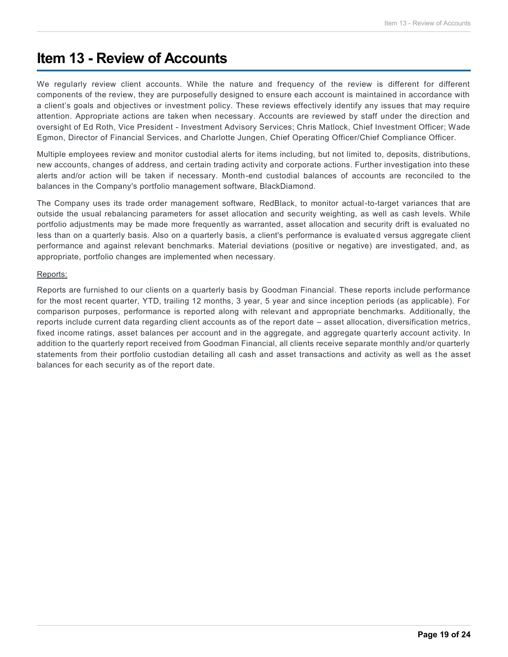## **Item 13 - Review of Accounts**

We regularly review client accounts. While the nature and frequency of the review is different for different components of the review, they are purposefully designed to ensure each account is maintained in accordance with a client's goals and objectives or investment policy. These reviews effectively identify any issues that may require attention. Appropriate actions are taken when necessary. Accounts are reviewed by staff under the direction and oversight of Ed Roth, Vice President - Investment Advisory Services; Chris Matlock, Chief Investment Officer; Wade Egmon, Director of Financial Services, and Charlotte Jungen, Chief Operating Officer/Chief Compliance Officer.

Multiple employees review and monitor custodial alerts for items including, but not limited to, deposits, distributions, new accounts, changes of address, and certain trading activity and corporate actions. Further investigation into these alerts and/or action will be taken if necessary. Month-end custodial balances of accounts are reconciled to the balances in the Company's portfolio management software, BlackDiamond.

The Company uses its trade order management software, RedBlack, to monitor actual-to-target variances that are outside the usual rebalancing parameters for asset allocation and security weighting, as well as cash levels. While portfolio adjustments may be made more frequently as warranted, asset allocation and security drift is evaluated no less than on a quarterly basis. Also on a quarterly basis, a client's performance is evaluated versus aggregate client performance and against relevant benchmarks. Material deviations (positive or negative) are investigated, and, as appropriate, portfolio changes are implemented when necessary.

#### Reports:

Reports are furnished to our clients on a quarterly basis by Goodman Financial. These reports include performance for the most recent quarter, YTD, trailing 12 months, 3 year, 5 year and since inception periods (as applicable). For comparison purposes, performance is reported along with relevant and appropriate benchmarks. Additionally, the reports include current data regarding client accounts as of the report date – asset allocation, diversification metrics, fixed income ratings, asset balances per account and in the aggregate, and aggregate quarterly account activity. In addition to the quarterly report received from Goodman Financial, all clients receive separate monthly and/or quarterly statements from their portfolio custodian detailing all cash and asset transactions and activity as well as the asset balances for each security as of the report date.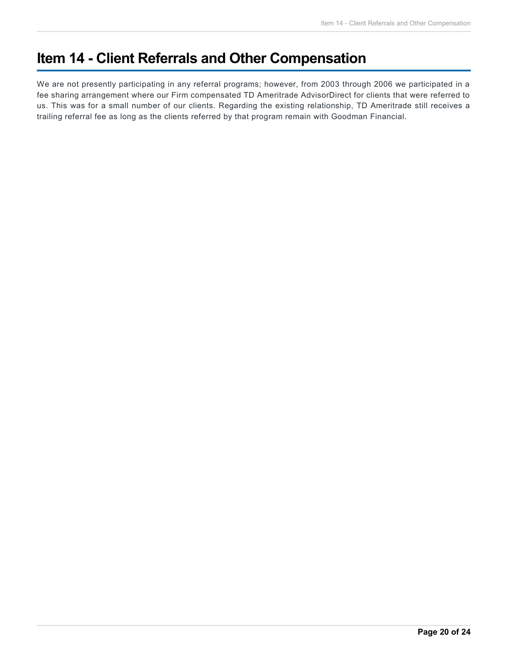# **Item 14 - Client Referrals and Other Compensation**

We are not presently participating in any referral programs; however, from 2003 through 2006 we participated in a fee sharing arrangement where our Firm compensated TD Ameritrade AdvisorDirect for clients that were referred to us. This was for a small number of our clients. Regarding the existing relationship, TD Ameritrade still receives a trailing referral fee as long as the clients referred by that program remain with Goodman Financial.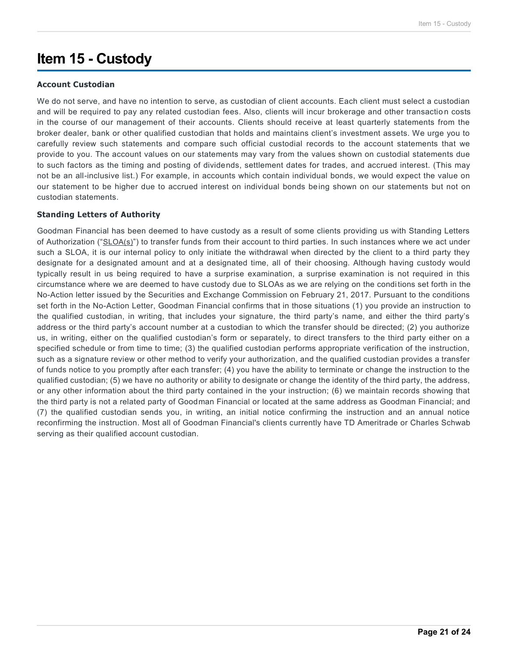# **Item 15 - Custody**

### **Account Custodian**

We do not serve, and have no intention to serve, as custodian of client accounts. Each client must select a custodian and will be required to pay any related custodian fees. Also, clients will incur brokerage and other transaction costs in the course of our management of their accounts. Clients should receive at least quarterly statements from the broker dealer, bank or other qualified custodian that holds and maintains client's investment assets. We urge you to carefully review such statements and compare such official custodial records to the account statements that we provide to you. The account values on our statements may vary from the values shown on custodial statements due to such factors as the timing and posting of dividends, settlement dates for trades, and accrued interest. (This may not be an all-inclusive list.) For example, in accounts which contain individual bonds, we would expect the value on our statement to be higher due to accrued interest on individual bonds being shown on our statements but not on custodian statements.

### **Standing Letters of Authority**

Goodman Financial has been deemed to have custody as a result of some clients providing us with Standing Letters of Authorization ("SLOA(s)") to transfer funds from their account to third parties. In such instances where we act under such a SLOA, it is our internal policy to only initiate the withdrawal when directed by the client to a third party they designate for a designated amount and at a designated time, all of their choosing. Although having custody would typically result in us being required to have a surprise examination, a surprise examination is not required in this circumstance where we are deemed to have custody due to SLOAs as we are relying on the conditions set forth in the No-Action letter issued by the Securities and Exchange Commission on February 21, 2017. Pursuant to the conditions set forth in the No-Action Letter, Goodman Financial confirms that in those situations (1) you provide an instruction to the qualified custodian, in writing, that includes your signature, the third party's name, and either the third party's address or the third party's account number at a custodian to which the transfer should be directed; (2) you authorize us, in writing, either on the qualified custodian's form or separately, to direct transfers to the third party either on a specified schedule or from time to time; (3) the qualified custodian performs appropriate verification of the instruction, such as a signature review or other method to verify your authorization, and the qualified custodian provides a transfer of funds notice to you promptly after each transfer; (4) you have the ability to terminate or change the instruction to the qualified custodian; (5) we have no authority or ability to designate or change the identity of the third party, the address, or any other information about the third party contained in the your instruction; (6) we maintain records showing that the third party is not a related party of Goodman Financial or located at the same address as Goodman Financial; and (7) the qualified custodian sends you, in writing, an initial notice confirming the instruction and an annual notice reconfirming the instruction. Most all of Goodman Financial's clients currently have TD Ameritrade or Charles Schwab serving as their qualified account custodian.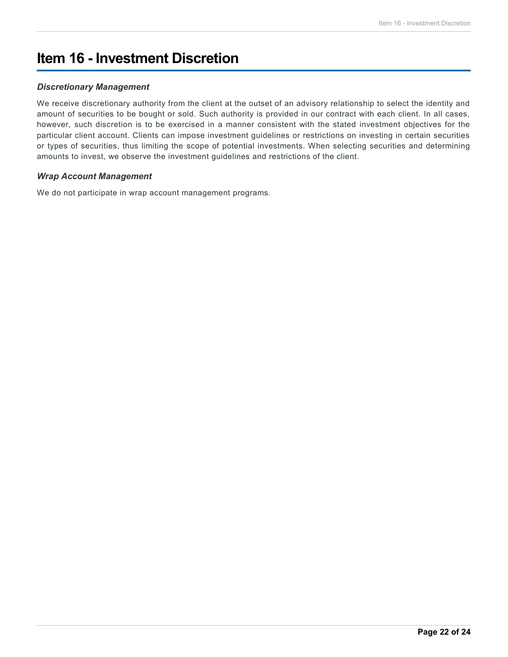# **Item 16 - Investment Discretion**

### *Discretionary Management*

We receive discretionary authority from the client at the outset of an advisory relationship to select the identity and amount of securities to be bought or sold. Such authority is provided in our contract with each client. In all cases, however, such discretion is to be exercised in a manner consistent with the stated investment objectives for the particular client account. Clients can impose investment guidelines or restrictions on investing in certain securities or types of securities, thus limiting the scope of potential investments. When selecting securities and determining amounts to invest, we observe the investment guidelines and restrictions of the client.

### *Wrap Account Management*

We do not participate in wrap account management programs.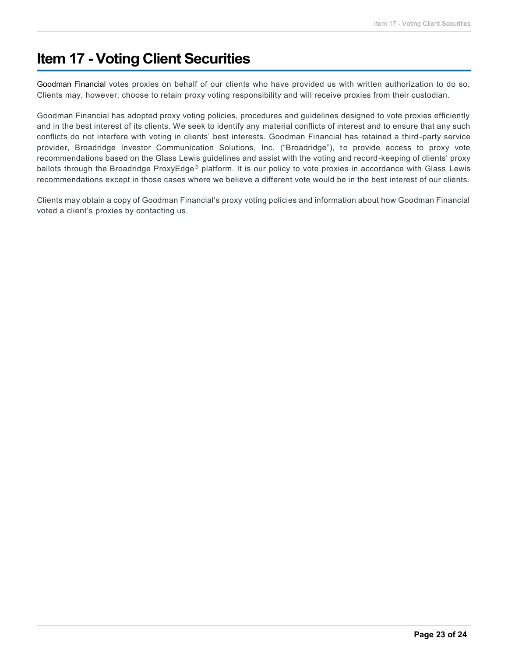## **Item 17 - Voting Client Securities**

Goodman Financial votes proxies on behalf of our clients who have provided us with written authorization to do so. Clients may, however, choose to retain proxy voting responsibility and will receive proxies from their custodian.

Goodman Financial has adopted proxy voting policies, procedures and guidelines designed to vote proxies efficiently and in the best interest of its clients. We seek to identify any material conflicts of interest and to ensure that any such conflicts do not interfere with voting in clients' best interests. Goodman Financial has retained a third -party service provider, Broadridge Investor Communication Solutions, Inc. ("Broadridge"), to provide access to proxy vote recommendations based on the Glass Lewis guidelines and assist with the voting and record-keeping of clients' proxy ballots through the Broadridge ProxyEdge® platform. It is our policy to vote proxies in accordance with Glass Lewis recommendations except in those cases where we believe a different vote would be in the best interest of our clients.

Clients may obtain a copy of Goodman Financial's proxy voting policies and information about how Goodman Financial voted a client's proxies by contacting us.